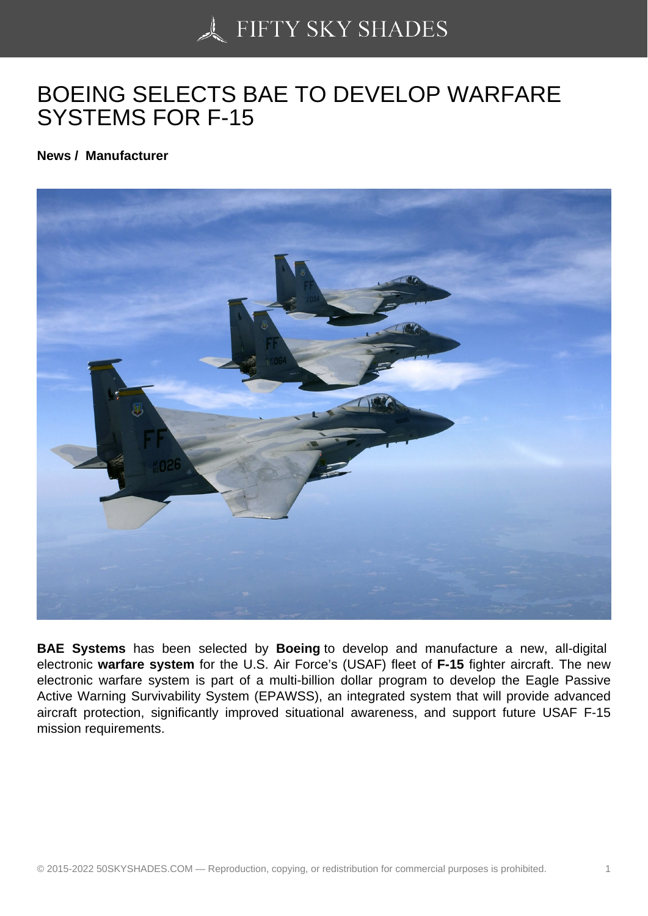## [BOEING SELECTS BA](https://50skyshades.com)E TO DEVELOP WARFARE SYSTEMS FOR F-15

News / Manufacturer

BAE Systems has been selected by Boeing to develop and manufacture a new, all-digital electronic warfare system for the U.S. Air Force's (USAF) fleet of F-15 fighter aircraft. The new electronic warfare system is part of a multi-billion dollar program to develop the Eagle Passive Active Warning Survivability System (EPAWSS), an integrated system that will provide advanced aircraft protection, significantly improved situational awareness, and support future USAF F-15 mission requirements.